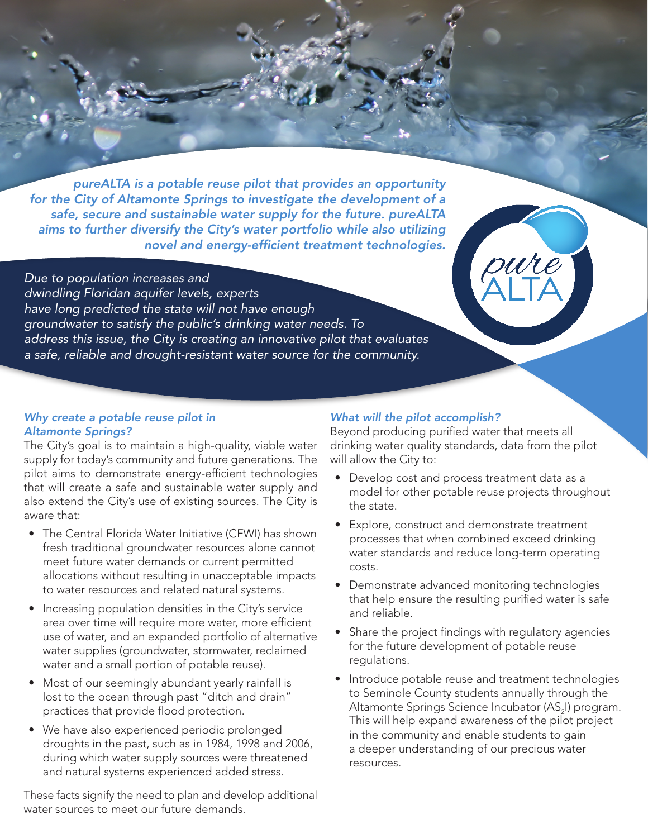*pureALTA is a potable reuse pilot that provides an opportunity for the City of Altamonte Springs to investigate the development of a safe, secure and sustainable water supply for the future. pureALTA aims to further diversify the City's water portfolio while also utilizing novel and energy-efficient treatment technologies.* 

*Due to population increases and dwindling Floridan aquifer levels, experts have long predicted the state will not have enough groundwater to satisfy the public's drinking water needs. To address this issue, the City is creating an innovative pilot that evaluates a safe, reliable and drought-resistant water source for the community.*

# *Why create a potable reuse pilot in Altamonte Springs?*

The City's goal is to maintain a high-quality, viable water supply for today's community and future generations. The pilot aims to demonstrate energy-efficient technologies that will create a safe and sustainable water supply and also extend the City's use of existing sources. The City is aware that:

- The Central Florida Water Initiative (CFWI) has shown fresh traditional groundwater resources alone cannot meet future water demands or current permitted allocations without resulting in unacceptable impacts to water resources and related natural systems.
- Increasing population densities in the City's service area over time will require more water, more efficient use of water, and an expanded portfolio of alternative water supplies (groundwater, stormwater, reclaimed water and a small portion of potable reuse).
- Most of our seemingly abundant yearly rainfall is lost to the ocean through past "ditch and drain" practices that provide flood protection.
- We have also experienced periodic prolonged droughts in the past, such as in 1984, 1998 and 2006, during which water supply sources were threatened and natural systems experienced added stress.

These facts signify the need to plan and develop additional water sources to meet our future demands.

# *What will the pilot accomplish?*

Beyond producing purified water that meets all drinking water quality standards, data from the pilot will allow the City to:

- Develop cost and process treatment data as a model for other potable reuse projects throughout the state.
- Explore, construct and demonstrate treatment processes that when combined exceed drinking water standards and reduce long-term operating costs.
- Demonstrate advanced monitoring technologies that help ensure the resulting purified water is safe and reliable.
- Share the project findings with regulatory agencies for the future development of potable reuse regulations.
- Introduce potable reuse and treatment technologies to Seminole County students annually through the Altamonte Springs Science Incubator (AS<sub>2</sub>I) program. This will help expand awareness of the pilot project in the community and enable students to gain a deeper understanding of our precious water resources.